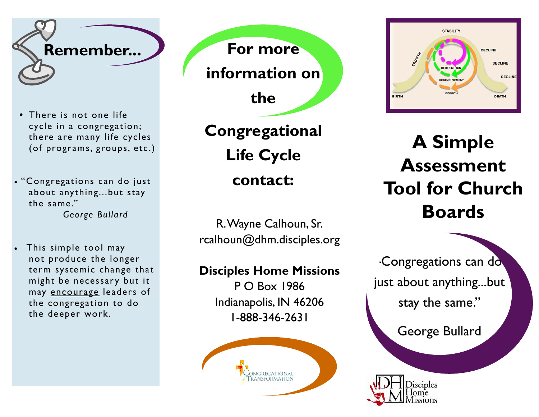

- **•** There is not one life cycle in a congregation; there are many life cycles (of programs, groups, etc.)
- "Congregations can do just about anything...but stay the same." *George Bullard*
- 0 This simple tool may not produce the longer term systemic change that might be necessary but it may encourage leaders of the congregation to do the deeper work.

**For more information on the** 

**Congregational Life Cycle contact:** 

R. Wayne Calhoun, Sr. rcalhoun@dhm.disciples.org

**Disciples Home Missions** 

P O Box 1986 Indianapolis, IN 46206 1-888-346-2631





**A Simple Assessment Tool for Church Boards** 

 "Congregations can do just about anything...but stay the same."

George Bullard